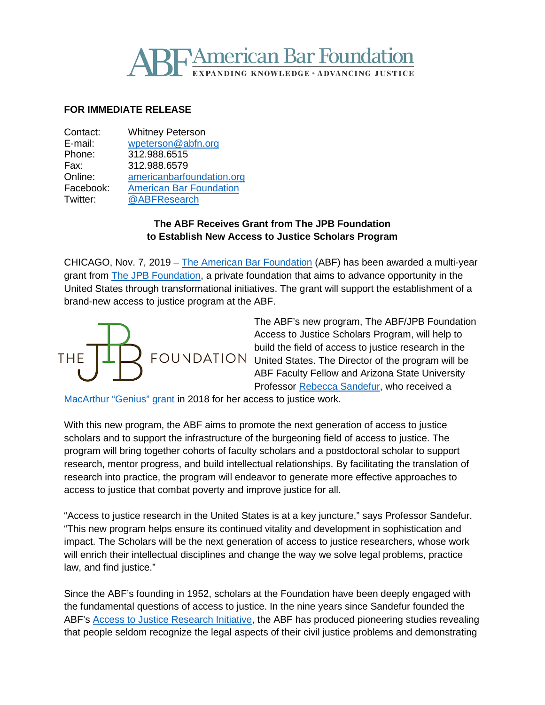# **TAmerican Bar Foundation G KNOWLEDGE · ADVANCING JUSTICE**

## **FOR IMMEDIATE RELEASE**

| Contact:  | <b>Whitney Peterson</b>        |
|-----------|--------------------------------|
| E-mail:   | wpeterson@abfn.org             |
| Phone:    | 312.988.6515                   |
| Fax:      | 312.988.6579                   |
| Online:   | americanbarfoundation.org      |
| Facebook: | <b>American Bar Foundation</b> |
| Twitter:  | @ABFResearch                   |
|           |                                |

## **The ABF Receives Grant from The JPB Foundation to Establish New Access to Justice Scholars Program**

CHICAGO, Nov. 7, 2019 – [The American Bar Foundation](http://www.americanbarfoundation.org/index.html) (ABF) has been awarded a multi-year grant from [The JPB Foundation,](https://www.jpbfoundation.org/) a private foundation that aims to advance opportunity in the United States through transformational initiatives. The grant will support the establishment of a brand-new access to justice program at the ABF.



The ABF's new program, The ABF/JPB Foundation Access to Justice Scholars Program, will help to build the field of access to justice research in the FOUNDATION United States. The Director of the program will be ABF Faculty Fellow and Arizona State University Professor [Rebecca Sandefur,](http://www.americanbarfoundation.org/faculty/profile/31) who received a

[MacArthur "Genius" grant](https://www.macfound.org/fellows/1022/) in 2018 for her access to justice work.

With this new program, the ABF aims to promote the next generation of access to justice scholars and to support the infrastructure of the burgeoning field of access to justice. The program will bring together cohorts of faculty scholars and a postdoctoral scholar to support research, mentor progress, and build intellectual relationships. By facilitating the translation of research into practice, the program will endeavor to generate more effective approaches to access to justice that combat poverty and improve justice for all.

"Access to justice research in the United States is at a key juncture," says Professor Sandefur. "This new program helps ensure its continued vitality and development in sophistication and impact. The Scholars will be the next generation of access to justice researchers, whose work will enrich their intellectual disciplines and change the way we solve legal problems, practice law, and find justice."

Since the ABF's founding in 1952, scholars at the Foundation have been deeply engaged with the fundamental questions of access to justice. In the nine years since Sandefur founded the ABF's [Access to Justice Research Initiative,](http://www.americanbarfoundation.org/research/project/106) the ABF has produced pioneering studies revealing that people seldom recognize the legal aspects of their civil justice problems and demonstrating